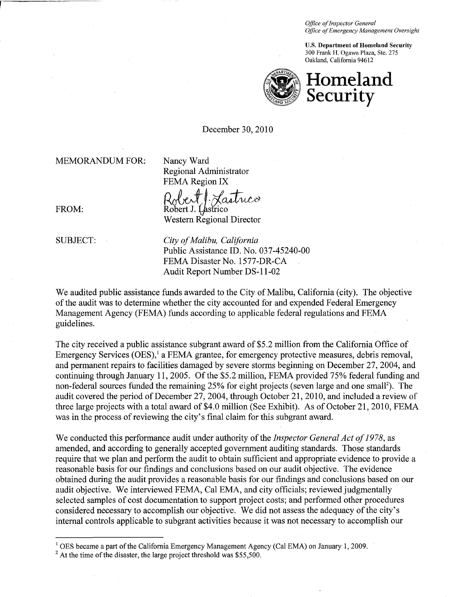*Office of Inspector General Office of Emergency Management Oversight* 

U.S. Department of Homeland Security 300 Fnmk II. Ogawa Plaza, Ste. 275 Oakland, California 94612



December 30,2010

MEMORANDUM FOR: Nancy Ward

Regional Administrator FEMA Region IX

Robert] Lastnico

Western Regional Director

FROM: Robert J. Lastrico

SUBJECT: *City of Malibu, California* Public Assistance ID. No. 037-45240-00 FEMA Disaster No. 1577-DR-CA Audit Report Number DS-11-02

We audited public assistance funds awarded to the City of Malibu, California (city). The objective of the audit was to determine whether the city accounted for and expended Federal Emergency Management Agency (FEMA) funds according to applicable federal regulations and FEMA guidelines.

The city received a public assistance subgrant award of \$5.2 million from the California Office of Emergency Services  $(OES)$ ,<sup>1</sup> a FEMA grantee, for emergency protective measures, debris removal, and permanent repairs to facilities damaged by severe storms beginning on December 27,2004, and continuing through January 11,2005. Of the \$5.2 million, FEMA provided 75% federal funding and non-federal sources funded the remaining 25% for eight projects (seven large and one small<sup>2</sup>). The audit covered the period of December 27,2004, through October 21,2010, and included a review of three large projects with a total award of\$4.0 million (See Exhibit). As of October 21, 2010, FEMA was in the process of reviewing the city's final claim for this subgrant award.

We conducted this performance audit under authority of the *Inspector General Act of* 1978, as amended, and according to generally accepted government auditing standards. Those standards require that we plan and perform the audit to obtain sufficient and appropriate evidence to provide a reasonable basis for our findings and conclusions based on our audit objective. The evidence obtained during the audit provides a reasonable basis for our findings and conclusions based on our audit objective. We interviewed FEMA, Cal EMA, and city officials; reviewed judgmentally selected samples of cost documentation to support project costs; and performed other procedures considered necessary to accomplish our objective. We did not assess the adequacy of the city's internal controls applicable to subgrant activities because it was not necessary to accomplish our

 $1$  OES became a part of the California Emergency Management Agency (Cal EMA) on January 1, 2009.

<span id="page-0-1"></span><span id="page-0-0"></span> $2$  At the time of the disaster, the large project threshold was \$55,500.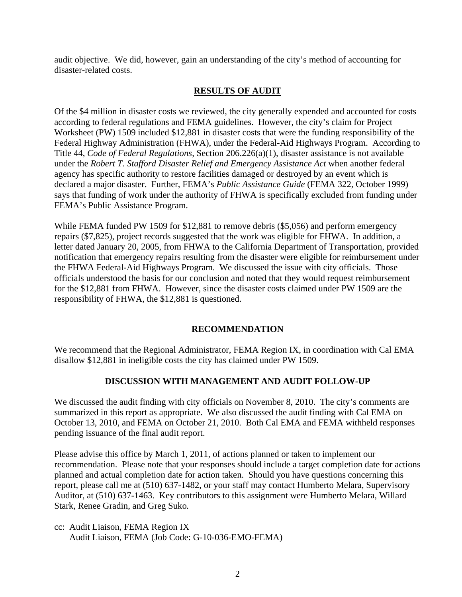audit objective. We did, however, gain an understanding of the city's method of accounting for disaster-related costs.

## **RESULTS OF AUDIT**

Of the \$4 million in disaster costs we reviewed, the city generally expended and accounted for costs according to federal regulations and FEMA guidelines. However, the city's claim for Project Worksheet (PW) 1509 included \$12,881 in disaster costs that were the funding responsibility of the Federal Highway Administration (FHWA), under the Federal-Aid Highways Program. According to Title 44, *Code of Federal Regulations*, Section 206.226(a)(1), disaster assistance is not available under the *Robert T. Stafford Disaster Relief and Emergency Assistance Act* when another federal agency has specific authority to restore facilities damaged or destroyed by an event which is declared a major disaster. Further, FEMA's *Public Assistance Guide* (FEMA 322, October 1999) says that funding of work under the authority of FHWA is specifically excluded from funding under FEMA's Public Assistance Program.

While FEMA funded PW 1509 for \$12,881 to remove debris (\$5,056) and perform emergency repairs (\$7,825), project records suggested that the work was eligible for FHWA. In addition, a letter dated January 20, 2005, from FHWA to the California Department of Transportation, provided notification that emergency repairs resulting from the disaster were eligible for reimbursement under the FHWA Federal-Aid Highways Program. We discussed the issue with city officials. Those officials understood the basis for our conclusion and noted that they would request reimbursement for the \$12,881 from FHWA. However, since the disaster costs claimed under PW 1509 are the responsibility of FHWA, the \$12,881 is questioned.

## **RECOMMENDATION**

We recommend that the Regional Administrator, FEMA Region IX, in coordination with Cal EMA disallow \$12,881 in ineligible costs the city has claimed under PW 1509.

## **DISCUSSION WITH MANAGEMENT AND AUDIT FOLLOW-UP**

We discussed the audit finding with city officials on November 8, 2010. The city's comments are summarized in this report as appropriate. We also discussed the audit finding with Cal EMA on October 13, 2010, and FEMA on October 21, 2010. Both Cal EMA and FEMA withheld responses pending issuance of the final audit report.

 Stark, Renee Gradin, and Greg Suko*.* Please advise this office by March 1, 2011, of actions planned or taken to implement our recommendation. Please note that your responses should include a target completion date for actions planned and actual completion date for action taken. Should you have questions concerning this report, please call me at (510) 637-1482, or your staff may contact Humberto Melara, Supervisory Auditor, at (510) 637-1463. Key contributors to this assignment were Humberto Melara, Willard

cc: Audit Liaison, FEMA Region IX Audit Liaison, FEMA (Job Code: G-10-036-EMO-FEMA)